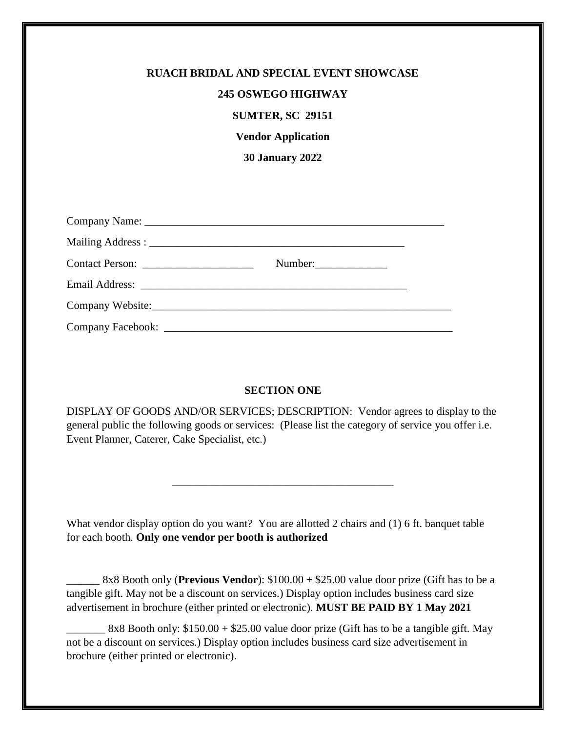| <b>RUACH BRIDAL AND SPECIAL EVENT SHOWCASE</b> |
|------------------------------------------------|
| <b>245 OSWEGO HIGHWAY</b>                      |
|                                                |
| <b>SUMTER, SC 29151</b>                        |
| <b>Vendor Application</b>                      |
| <b>30 January 2022</b>                         |
|                                                |
|                                                |
|                                                |
|                                                |
| Number:                                        |
|                                                |
| Company Website: Company Website:              |
|                                                |

## **SECTION ONE**

DISPLAY OF GOODS AND/OR SERVICES; DESCRIPTION: Vendor agrees to display to the general public the following goods or services: (Please list the category of service you offer i.e. Event Planner, Caterer, Cake Specialist, etc.)

\_\_\_\_\_\_\_\_\_\_\_\_\_\_\_\_\_\_\_\_\_\_\_\_\_\_\_\_\_\_\_\_\_\_\_\_\_\_\_\_

What vendor display option do you want? You are allotted 2 chairs and (1) 6 ft. banquet table for each booth. **Only one vendor per booth is authorized**

\_\_\_\_\_\_ 8x8 Booth only (**Previous Vendor**): \$100.00 + \$25.00 value door prize (Gift has to be a tangible gift. May not be a discount on services.) Display option includes business card size advertisement in brochure (either printed or electronic). **MUST BE PAID BY 1 May 2021**

 $8x8$  Booth only:  $$150.00 + $25.00$  value door prize (Gift has to be a tangible gift. May not be a discount on services.) Display option includes business card size advertisement in brochure (either printed or electronic).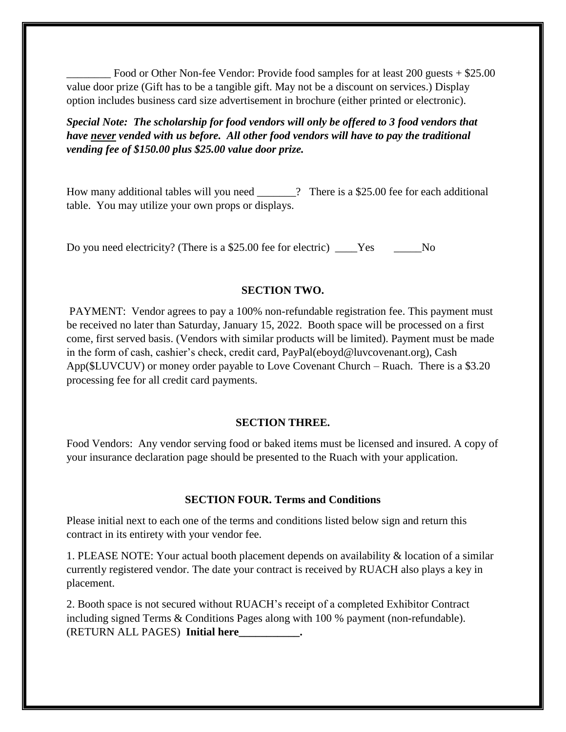Food or Other Non-fee Vendor: Provide food samples for at least 200 guests + \$25.00 value door prize (Gift has to be a tangible gift. May not be a discount on services.) Display option includes business card size advertisement in brochure (either printed or electronic).

*Special Note: The scholarship for food vendors will only be offered to 3 food vendors that have never vended with us before. All other food vendors will have to pay the traditional vending fee of \$150.00 plus \$25.00 value door prize.* 

How many additional tables will you need \_\_\_\_\_\_? There is a \$25.00 fee for each additional table. You may utilize your own props or displays.

Do you need electricity? (There is a \$25.00 fee for electric) \_\_\_\_\_Yes \_\_\_\_\_\_No

## **SECTION TWO.**

PAYMENT: Vendor agrees to pay a 100% non-refundable registration fee. This payment must be received no later than Saturday, January 15, 2022. Booth space will be processed on a first come, first served basis. (Vendors with similar products will be limited). Payment must be made in the form of cash, cashier's check, credit card, PayPal(eboyd@luvcovenant.org), Cash App(\$LUVCUV) or money order payable to Love Covenant Church – Ruach. There is a \$3.20 processing fee for all credit card payments.

## **SECTION THREE.**

Food Vendors: Any vendor serving food or baked items must be licensed and insured. A copy of your insurance declaration page should be presented to the Ruach with your application.

## **SECTION FOUR. Terms and Conditions**

Please initial next to each one of the terms and conditions listed below sign and return this contract in its entirety with your vendor fee.

1. PLEASE NOTE: Your actual booth placement depends on availability & location of a similar currently registered vendor. The date your contract is received by RUACH also plays a key in placement.

2. Booth space is not secured without RUACH's receipt of a completed Exhibitor Contract including signed Terms & Conditions Pages along with 100 % payment (non-refundable). (RETURN ALL PAGES) **Initial here\_\_\_\_\_\_\_\_\_\_\_.**